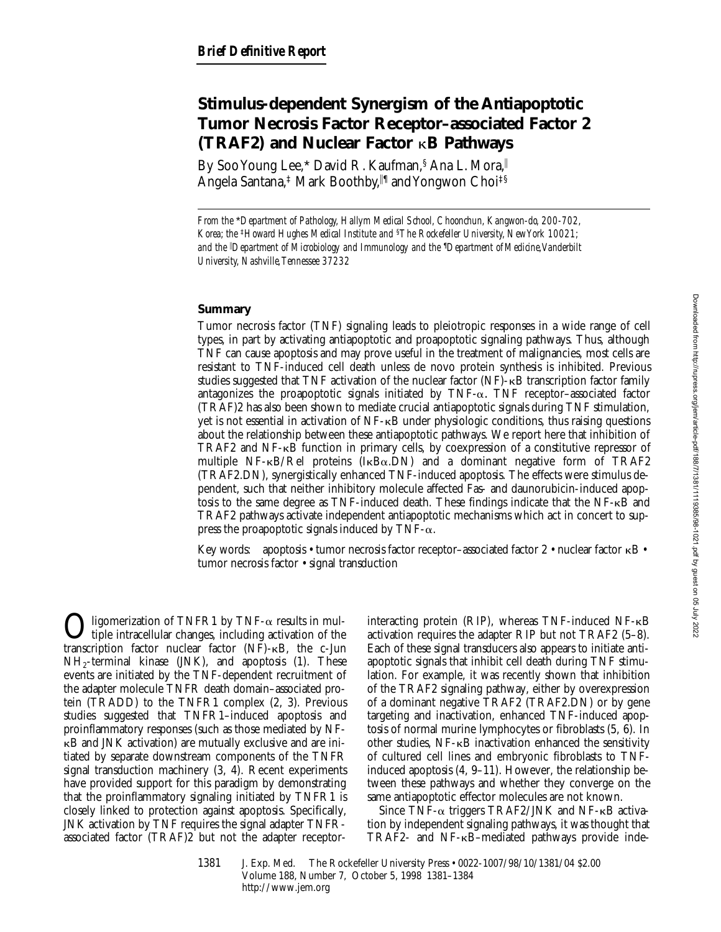# **Stimulus-dependent Synergism of the Antiapoptotic Tumor Necrosis Factor Receptor–associated Factor 2 (TRAF2) and Nuclear Factor** k**B Pathways**

By Soo Young Lee,\* David R. Kaufman, § Ana L. Mora, Angela Santana,‡ Mark Boothby,‼¶ and Yongwon Choi‡§

*From the* \**Department of Pathology, Hallym Medical School, Choonchun, Kangwon-do, 200-702, Korea; the* ‡*Howard Hughes Medical Institute and* §*The Rockefeller University, New York 10021; and the* <sup>i</sup> *Department of Microbiology and Immunology and the* ¶ *Department of Medicine,Vanderbilt University, Nashville, Tennessee 37232*

# **Summary**

Tumor necrosis factor (TNF) signaling leads to pleiotropic responses in a wide range of cell types, in part by activating antiapoptotic and proapoptotic signaling pathways. Thus, although TNF can cause apoptosis and may prove useful in the treatment of malignancies, most cells are resistant to TNF-induced cell death unless de novo protein synthesis is inhibited. Previous studies suggested that TNF activation of the nuclear factor (NF)-kB transcription factor family antagonizes the proapoptotic signals initiated by  $TNF-\alpha$ . TNF receptor–associated factor (TRAF)2 has also been shown to mediate crucial antiapoptotic signals during TNF stimulation, yet is not essential in activation of NF-kB under physiologic conditions, thus raising questions about the relationship between these antiapoptotic pathways. We report here that inhibition of TRAF2 and  $NF$ - $\kappa$ B function in primary cells, by coexpression of a constitutive repressor of multiple  $NF-\kappa B/Rel$  proteins ( $I\kappa B\alpha$ .DN) and a dominant negative form of TRAF2 (TRAF2.DN), synergistically enhanced TNF-induced apoptosis. The effects were stimulus dependent, such that neither inhibitory molecule affected Fas- and daunorubicin-induced apoptosis to the same degree as TNF-induced death. These findings indicate that the NF-kB and TRAF2 pathways activate independent antiapoptotic mechanisms which act in concert to suppress the proapoptotic signals induced by TNF- $\alpha$ .

Key words: apoptosis • tumor necrosis factor receptor-associated factor  $2 \cdot$  nuclear factor  $\kappa B \cdot$ tumor necrosis factor • signal transduction

 $\bigodot$  ligomerization of TNFR1 by TNF- $\alpha$  results in multiple intracellular changes, including activation of the transcription factor nuclear factor (NF)-kB, the c-Jun  $NH<sub>2</sub>$ -terminal kinase (JNK), and apoptosis (1). These events are initiated by the TNF-dependent recruitment of the adapter molecule TNFR death domain–associated protein (TRADD) to the TNFR1 complex (2, 3). Previous studies suggested that TNFR1–induced apoptosis and proinflammatory responses (such as those mediated by NFkB and JNK activation) are mutually exclusive and are initiated by separate downstream components of the TNFR signal transduction machinery (3, 4). Recent experiments have provided support for this paradigm by demonstrating that the proinflammatory signaling initiated by TNFR1 is closely linked to protection against apoptosis. Specifically, JNK activation by TNF requires the signal adapter TNFRassociated factor (TRAF)2 but not the adapter receptorinteracting protein (RIP), whereas TNF-induced NF-kB activation requires the adapter RIP but not TRAF2 (5–8). Each of these signal transducers also appears to initiate antiapoptotic signals that inhibit cell death during TNF stimulation. For example, it was recently shown that inhibition of the TRAF2 signaling pathway, either by overexpression of a dominant negative TRAF2 (TRAF2.DN) or by gene targeting and inactivation, enhanced TNF-induced apoptosis of normal murine lymphocytes or fibroblasts (5, 6). In other studies, NF-kB inactivation enhanced the sensitivity of cultured cell lines and embryonic fibroblasts to TNFinduced apoptosis (4, 9–11). However, the relationship between these pathways and whether they converge on the same antiapoptotic effector molecules are not known.

Since TNF- $\alpha$  triggers TRAF2/JNK and NF- $\kappa$ B activation by independent signaling pathways, it was thought that TRAF2- and NF-kB–mediated pathways provide inde-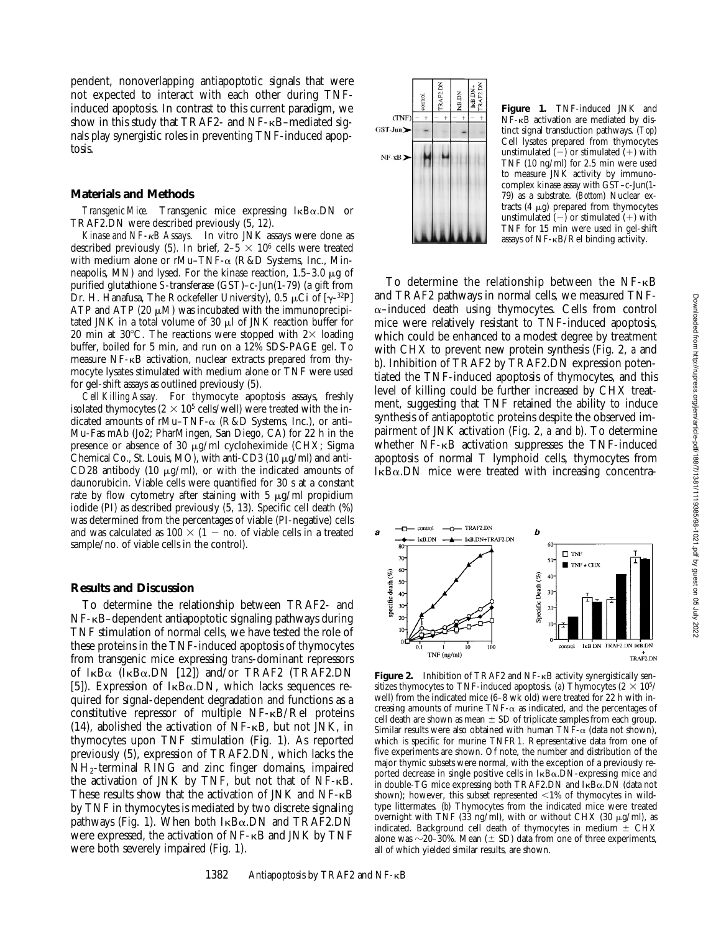pendent, nonoverlapping antiapoptotic signals that were not expected to interact with each other during TNFinduced apoptosis. In contrast to this current paradigm, we show in this study that TRAF2- and NF- $\kappa$ B–mediated signals play synergistic roles in preventing TNF-induced apoptosis.

#### **Materials and Methods**

*Transgenic Mice.* Transgenic mice expressing IkBa.DN or TRAF2.DN were described previously (5, 12).

*Kinase and NF-*k*B Assays.* In vitro JNK assays were done as described previously (5). In brief,  $2-5 \times 10^6$  cells were treated with medium alone or rMu–TNF- $\alpha$  (R&D Systems, Inc., Minneapolis, MN) and lysed. For the kinase reaction,  $1.5-3.0 \mu g$  of purified glutathione *S*-transferase (GST)–c-Jun(1-79) (a gift from Dr. H. Hanafusa, The Rockefeller University), 0.5  $\mu$ Ci of [ $\gamma$ -32P] ATP and ATP (20  $\mu$ M) was incubated with the immunoprecipitated JNK in a total volume of 30  $\mu$ l of JNK reaction buffer for 20 min at 30°C. The reactions were stopped with  $2\times$  loading buffer, boiled for 5 min, and run on a 12% SDS-PAGE gel. To measure NF-kB activation, nuclear extracts prepared from thymocyte lysates stimulated with medium alone or TNF were used for gel-shift assays as outlined previously (5).

*Cell Killing Assay.* For thymocyte apoptosis assays, freshly isolated thymocytes  $(2 \times 10^5 \text{ cells/well})$  were treated with the indicated amounts of rMu–TNF- $\alpha$  (R&D Systems, Inc.), or anti– Mu-Fas mAb (Jo2; PharMingen, San Diego, CA) for 22 h in the presence or absence of 30  $\mu$ g/ml cycloheximide (CHX; Sigma Chemical Co., St. Louis, MO), with anti-CD3 (10  $\mu$ g/ml) and anti-CD28 antibody (10  $\mu$ g/ml), or with the indicated amounts of daunorubicin. Viable cells were quantified for 30 s at a constant rate by flow cytometry after staining with 5  $\mu$ g/ml propidium iodide (PI) as described previously (5, 13). Specific cell death (%) was determined from the percentages of viable (PI-negative) cells and was calculated as  $100 \times (1 - \text{no. of viable cells in a treated})$ sample/no. of viable cells in the control).

## **Results and Discussion**

To determine the relationship between TRAF2- and NF-kB–dependent antiapoptotic signaling pathways during TNF stimulation of normal cells, we have tested the role of these proteins in the TNF-induced apoptosis of thymocytes from transgenic mice expressing *trans*-dominant repressors of  $I \kappa B\alpha$  ( $I \kappa B\alpha$ . DN [12]) and/or TRAF2 (TRAF2. DN [5]). Expression of  $I_{\kappa}B_{\alpha}$ . DN, which lacks sequences required for signal-dependent degradation and functions as a constitutive repressor of multiple NF-kB/Rel proteins  $(14)$ , abolished the activation of NF- $\kappa$ B, but not JNK, in thymocytes upon TNF stimulation (Fig. 1). As reported previously (5), expression of TRAF2.DN, which lacks the NH2-terminal RING and zinc finger domains, impaired the activation of JNK by TNF, but not that of  $NF-\kappa B$ . These results show that the activation of JNK and NF- $\kappa$ B by TNF in thymocytes is mediated by two discrete signaling pathways (Fig. 1). When both  $I_{\kappa}B_{\alpha}$ . DN and TRAF2. DN were expressed, the activation of  $NF - \kappa B$  and JNK by TNF were both severely impaired (Fig. 1).



**Figure 1.** TNF-induced JNK and NF-kB activation are mediated by distinct signal transduction pathways. (*Top*) Cell lysates prepared from thymocytes unstimulated  $(-)$  or stimulated  $(+)$  with TNF (10 ng/ml) for 2.5 min were used to measure JNK activity by immunocomplex kinase assay with GST–c-Jun(1- 79) as a substrate. (*Bottom*) Nuclear extracts  $(4 \mu g)$  prepared from thymocytes unstimulated  $(-)$  or stimulated  $(+)$  with TNF for 15 min were used in gel-shift assays of NF-kB/Rel binding activity.

To determine the relationship between the NF- $\kappa$ B and TRAF2 pathways in normal cells, we measured TNF- $\alpha$ –induced death using thymocytes. Cells from control mice were relatively resistant to TNF-induced apoptosis, which could be enhanced to a modest degree by treatment with CHX to prevent new protein synthesis (Fig. 2, *a* and *b*). Inhibition of TRAF2 by TRAF2.DN expression potentiated the TNF-induced apoptosis of thymocytes, and this level of killing could be further increased by CHX treatment, suggesting that TNF retained the ability to induce synthesis of antiapoptotic proteins despite the observed impairment of JNK activation (Fig. 2, *a* and *b*). To determine whether NF-kB activation suppresses the TNF-induced apoptosis of normal T lymphoid cells, thymocytes from  $I_{\kappa}B_{\alpha}$ . DN mice were treated with increasing concentra-



**Figure 2.** Inhibition of TRAF2 and  $NF - \kappa B$  activity synergistically sensitizes thymocytes to TNF-induced apoptosis. (a) Thymocytes  $(2 \times 10^5/$ well) from the indicated mice (6–8 wk old) were treated for 22 h with increasing amounts of murine TNF- $\alpha$  as indicated, and the percentages of cell death are shown as mean  $\pm$  SD of triplicate samples from each group. Similar results were also obtained with human  $TNF-\alpha$  (data not shown), which is specific for murine TNFR1. Representative data from one of five experiments are shown. Of note, the number and distribution of the major thymic subsets were normal, with the exception of a previously reported decrease in single positive cells in IkBa.DN-expressing mice and in double-TG mice expressing both TRAF2.DN and IkBa.DN (data not shown); however, this subset represented  $\langle 1\% \rangle$  of thymocytes in wildtype littermates. (*b*) Thymocytes from the indicated mice were treated overnight with TNF (33 ng/ml), with or without CHX (30  $\mu$ g/ml), as indicated. Background cell death of thymocytes in medium  $\pm$  CHX alone was  $\sim$ 20–30%. Mean ( $\pm$  SD) data from one of three experiments, all of which yielded similar results, are shown.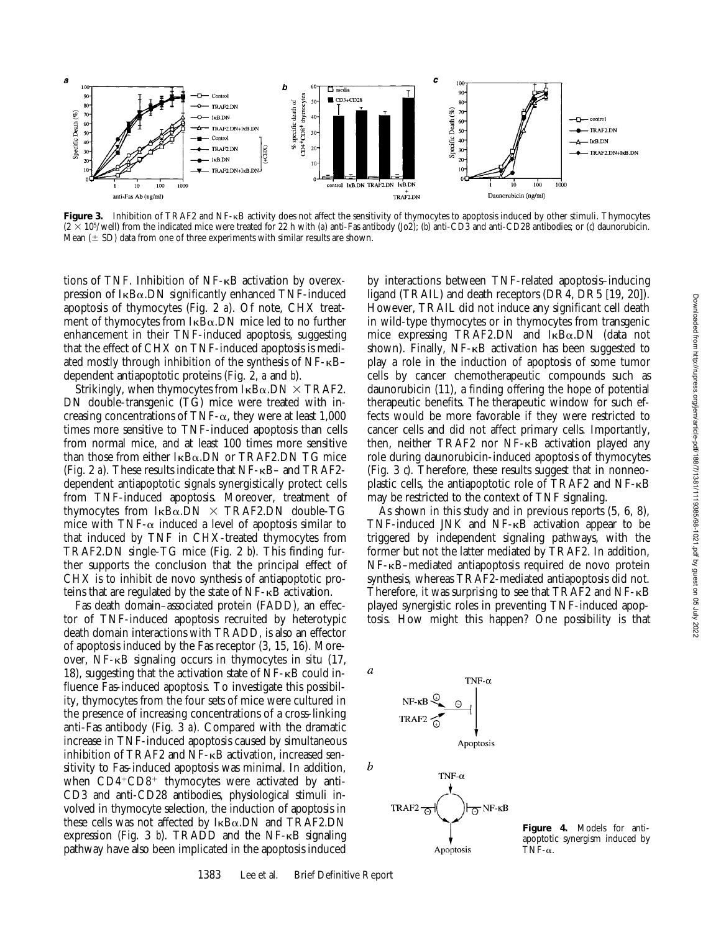

**Figure 3.** Inhibition of TRAF2 and NF-kB activity does not affect the sensitivity of thymocytes to apoptosis induced by other stimuli. Thymocytes  $(2 \times 10^5/\text{well})$  from the indicated mice were treated for 22 h with (*a*) anti-Fas antibody (Jo2); (*b*) anti-CD3 and anti-CD28 antibodies; or (*c*) daunorubicin. Mean  $(\pm$  SD) data from one of three experiments with similar results are shown.

tions of TNF. Inhibition of NF-kB activation by overexpression of  $I_{\kappa}B_{\alpha}$ . DN significantly enhanced TNF-induced apoptosis of thymocytes (Fig. 2 *a*). Of note, CHX treatment of thymocytes from  $I_{\kappa}B_{\alpha}$ . DN mice led to no further enhancement in their TNF-induced apoptosis, suggesting that the effect of CHX on TNF-induced apoptosis is mediated mostly through inhibition of the synthesis of NF-kB– dependent antiapoptotic proteins (Fig. 2, *a* and *b*).

Strikingly, when thymocytes from  $I_{\kappa}B_{\alpha}$ . DN  $\times$  TRAF2. DN double-transgenic (TG) mice were treated with increasing concentrations of TNF- $\alpha$ , they were at least 1,000 times more sensitive to TNF-induced apoptosis than cells from normal mice, and at least 100 times more sensitive than those from either  $I_{\kappa}B_{\alpha}$ . DN or TRAF2. DN TG mice (Fig. 2 *a*). These results indicate that NF-kB– and TRAF2 dependent antiapoptotic signals synergistically protect cells from TNF-induced apoptosis. Moreover, treatment of thymocytes from  $I_{\kappa}B_{\alpha}$ .DN  $\times$  TRAF2.DN double-TG mice with TNF- $\alpha$  induced a level of apoptosis similar to that induced by TNF in CHX-treated thymocytes from TRAF2.DN single-TG mice (Fig. 2 *b*). This finding further supports the conclusion that the principal effect of CHX is to inhibit de novo synthesis of antiapoptotic proteins that are regulated by the state of  $NF - \kappa B$  activation.

Fas death domain–associated protein (FADD), an effector of TNF-induced apoptosis recruited by heterotypic death domain interactions with TRADD, is also an effector of apoptosis induced by the Fas receptor (3, 15, 16). Moreover, NF-kB signaling occurs in thymocytes in situ (17, 18), suggesting that the activation state of  $NF$ - $\kappa$ B could influence Fas-induced apoptosis. To investigate this possibility, thymocytes from the four sets of mice were cultured in the presence of increasing concentrations of a cross-linking anti-Fas antibody (Fig. 3 *a*). Compared with the dramatic increase in TNF-induced apoptosis caused by simultaneous inhibition of TRAF2 and  $NF$ - $\kappa$ B activation, increased sensitivity to Fas-induced apoptosis was minimal. In addition, when  $CD4+CD8$ <sup>+</sup> thymocytes were activated by anti-CD3 and anti-CD28 antibodies, physiological stimuli involved in thymocyte selection, the induction of apoptosis in these cells was not affected by  $I_{\kappa}B_{\alpha}$ . DN and TRAF2. DN expression (Fig. 3  $b$ ). TRADD and the NF- $\kappa$ B signaling pathway have also been implicated in the apoptosis induced

by interactions between TNF-related apoptosis–inducing ligand (TRAIL) and death receptors (DR4, DR5 [19, 20]). However, TRAIL did not induce any significant cell death in wild-type thymocytes or in thymocytes from transgenic mice expressing TRAF2.DN and IkBa.DN (data not shown). Finally, NF-KB activation has been suggested to play a role in the induction of apoptosis of some tumor cells by cancer chemotherapeutic compounds such as daunorubicin (11), a finding offering the hope of potential therapeutic benefits. The therapeutic window for such effects would be more favorable if they were restricted to cancer cells and did not affect primary cells. Importantly, then, neither TRAF2 nor NF-kB activation played any role during daunorubicin-induced apoptosis of thymocytes (Fig. 3 *c*). Therefore, these results suggest that in nonneoplastic cells, the antiapoptotic role of TRAF2 and NF-kB may be restricted to the context of TNF signaling.

As shown in this study and in previous reports (5, 6, 8), TNF-induced JNK and NF-kB activation appear to be triggered by independent signaling pathways, with the former but not the latter mediated by TRAF2. In addition, NF-kB–mediated antiapoptosis required de novo protein synthesis, whereas TRAF2-mediated antiapoptosis did not. Therefore, it was surprising to see that TRAF2 and  $NF - \kappa B$ played synergistic roles in preventing TNF-induced apoptosis. How might this happen? One possibility is that



Apoptosis

**Figure 4.** Models for antiapoptotic synergism induced by TNF- $\alpha$ .